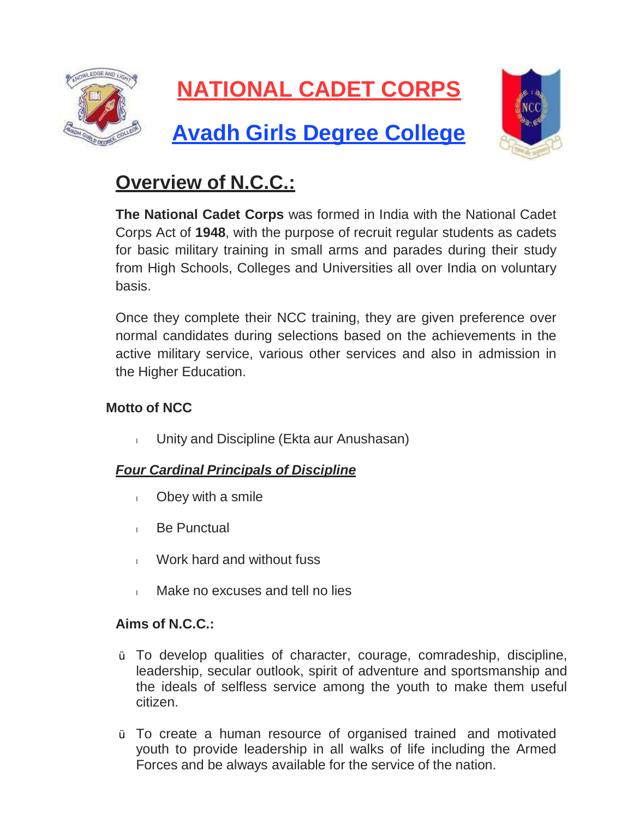

# **NATIONAL CADET CORPS**

## **Avadh Girls Degree College**



### **Overview of N.C.C.:**

**The National Cadet Corps** was formed in India with the National Cadet Corps Act of **1948**, with the purpose of recruit regular students as cadets for basic military training in small arms and parades during their study from High Schools, Colleges and Universities all over India on voluntary basis.

Once they complete their NCC training, they are given preference over normal candidates during selections based on the achievements in the active military service, various other services and also in admission in the Higher Education.

#### **Motto of NCC**

I Unity and Discipline (Ekta aur Anushasan)

#### *Four Cardinal Principals of Discipline*

- <sup>l</sup> Obey with a smile
- **Be Punctual**
- l Work hard and without fuss
- l Make no excuses and tell no lies

#### **Aims of N.C.C.:**

- Ÿ To develop qualities of character, courage, comradeship, discipline, leadership, secular outlook, spirit of adventure and sportsmanship and the ideals of selfless service among the youth to make them useful citizen.
- Ÿ To create a human resource of organised trained and motivated youth to provide leadership in all walks of life including the Armed Forces and be always available for the service of the nation.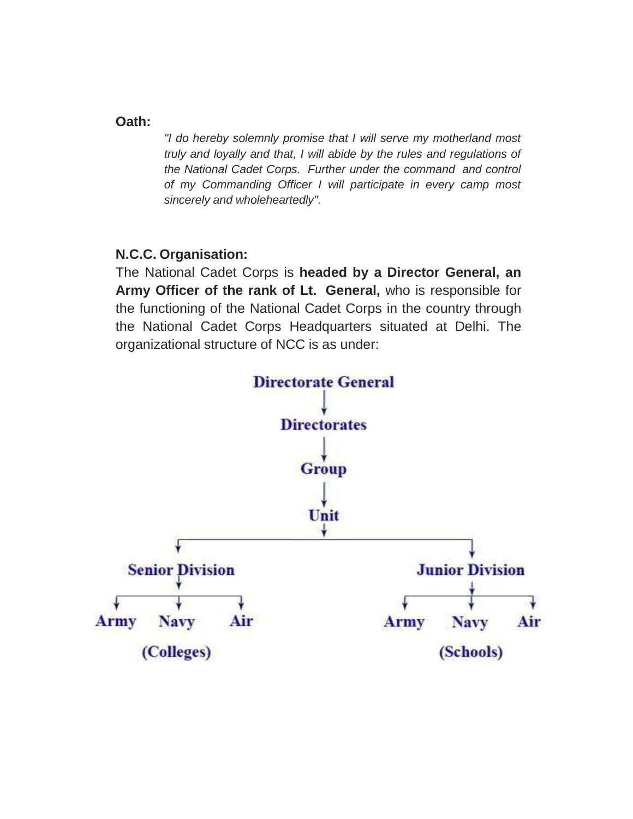#### **Oath:**

*"I do hereby solemnly promise that I will serve my motherland most truly and loyally and that, I will abide by the rules and regulations of the National Cadet Corps. Further under the command and control of my Commanding Officer I will participate in every camp most sincerely and wholeheartedly".*

#### **N.C.C. Organisation:**

The National Cadet Corps is **headed by a Director General, an Army Officer of the rank of Lt. General,** who is responsible for the functioning of the National Cadet Corps in the country through the National Cadet Corps Headquarters situated at Delhi. The organizational structure of NCC is as under:

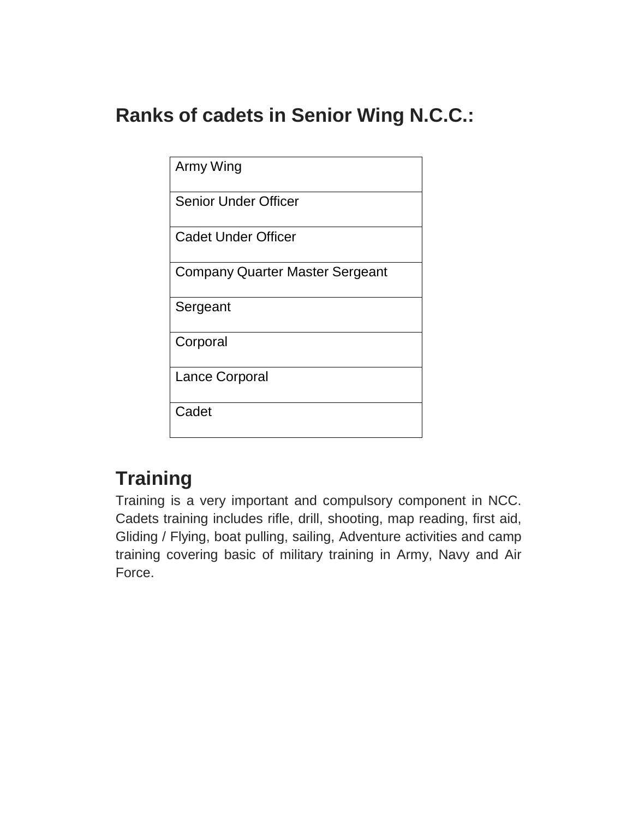### **Ranks of cadets in Senior Wing N.C.C.:**

| Army Wing                              |
|----------------------------------------|
| <b>Senior Under Officer</b>            |
| <b>Cadet Under Officer</b>             |
| <b>Company Quarter Master Sergeant</b> |
| Sergeant                               |
| Corporal                               |
| Lance Corporal                         |
| Cadet                                  |

### **Training**

Training is a very important and compulsory component in NCC. Cadets training includes rifle, drill, shooting, map reading, first aid, Gliding / Flying, boat pulling, sailing, Adventure activities and camp training covering basic of military training in Army, Navy and Air Force.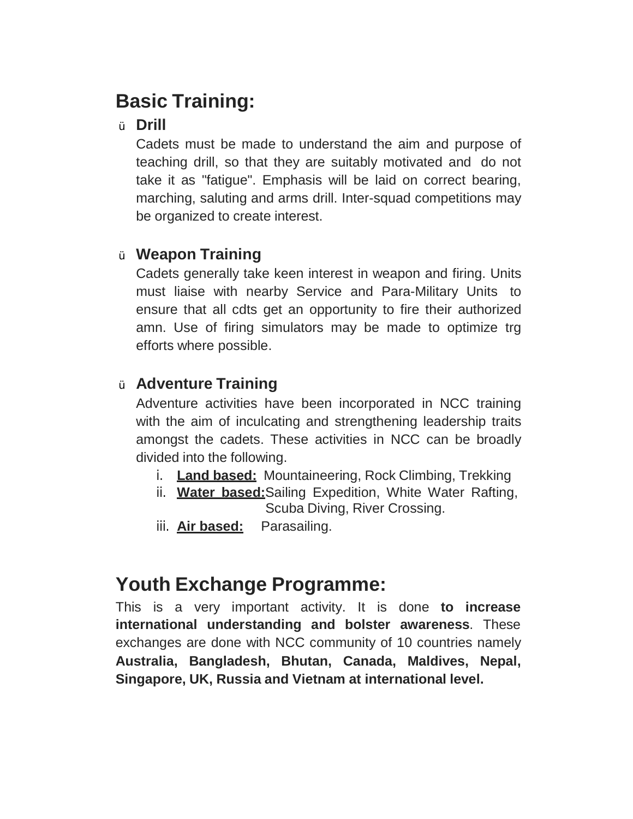### **Basic Training:**

#### <sup>Ÿ</sup> **Drill**

Cadets must be made to understand the aim and purpose of teaching drill, so that they are suitably motivated and do not take it as "fatigue". Emphasis will be laid on correct bearing, marching, saluting and arms drill. Inter-squad competitions may be organized to create interest.

### <sup>Ÿ</sup> **Weapon Training**

Cadets generally take keen interest in weapon and firing. Units must liaise with nearby Service and Para-Military Units to ensure that all cdts get an opportunity to fire their authorized amn. Use of firing simulators may be made to optimize trg efforts where possible.

### <sup>Ÿ</sup> **Adventure Training**

Adventure activities have been incorporated in NCC training with the aim of inculcating and strengthening leadership traits amongst the cadets. These activities in NCC can be broadly divided into the following.

- i. **Land based:** Mountaineering, Rock Climbing, Trekking
- ii. **Water based:**Sailing Expedition, White Water Rafting, Scuba Diving, River Crossing.
- iii. **Air based:** Parasailing.

### **Youth Exchange Programme:**

This is a very important activity. It is done **to increase international understanding and bolster awareness**. These exchanges are done with NCC community of 10 countries namely **Australia, Bangladesh, Bhutan, Canada, Maldives, Nepal, Singapore, UK, Russia and Vietnam at international level.**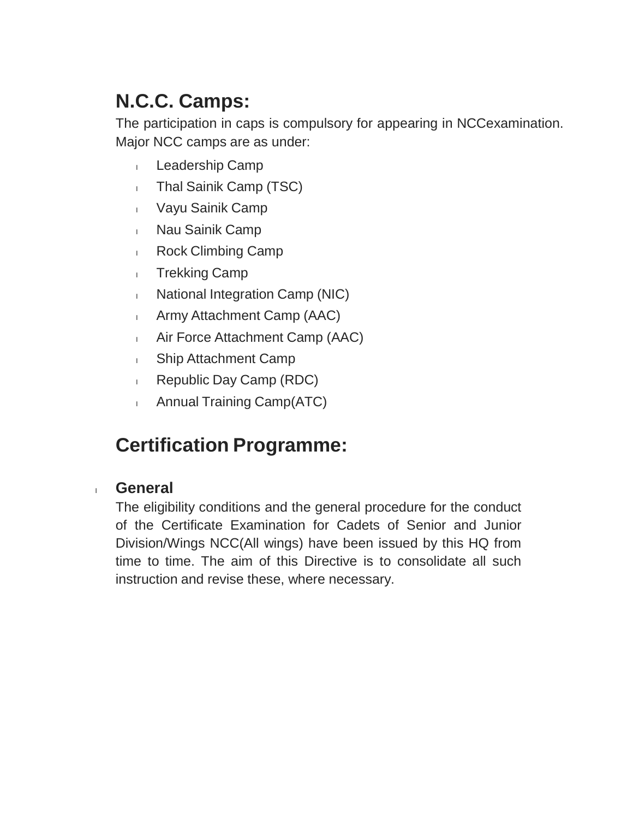## **N.C.C. Camps:**

The participation in caps is compulsory for appearing in NCCexamination. Major NCC camps are as under:

- 1 Leadership Camp
- I Thal Sainik Camp (TSC)
- <sup>l</sup> Vayu Sainik Camp
- <sup>l</sup> Nau Sainik Camp
- **Rock Climbing Camp**
- 1 Trekking Camp
- I National Integration Camp (NIC)
- <sup>l</sup> Army Attachment Camp (AAC)
- <sup>l</sup> Air Force Attachment Camp (AAC)
- **I** Ship Attachment Camp
- **Republic Day Camp (RDC)**
- **Annual Training Camp(ATC)**

### **Certification Programme:**

#### <sup>l</sup> **General**

The eligibility conditions and the general procedure for the conduct of the Certificate Examination for Cadets of Senior and Junior Division/Wings NCC(All wings) have been issued by this HQ from time to time. The aim of this Directive is to consolidate all such instruction and revise these, where necessary.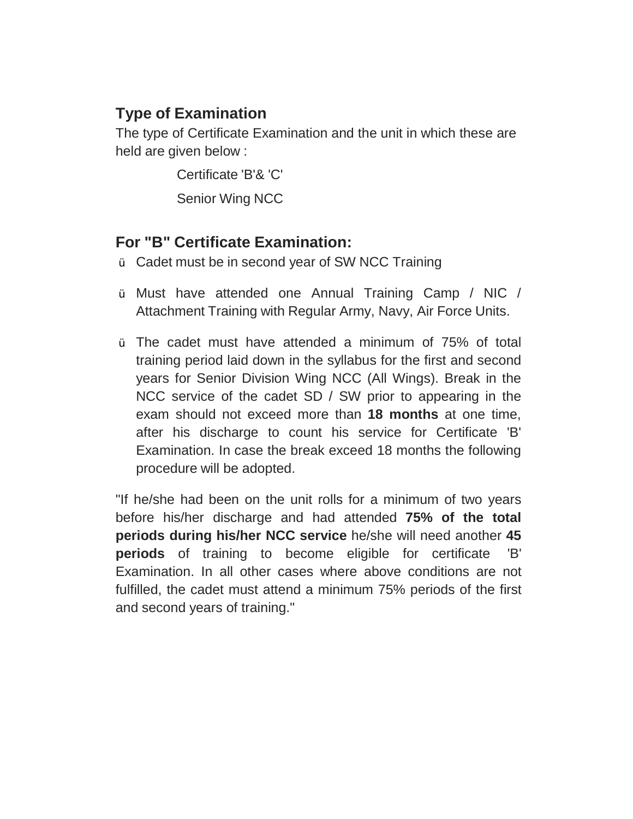#### **Type of Examination**

The type of Certificate Examination and the unit in which these are held are given below :

> Certificate 'B'& 'C' Senior Wing NCC

#### **For "B" Certificate Examination:**

- Ÿ Cadet must be in second year of SW NCC Training
- Ÿ Must have attended one Annual Training Camp / NIC / Attachment Training with Regular Army, Navy, Air Force Units.
- Ÿ The cadet must have attended a minimum of 75% of total training period laid down in the syllabus for the first and second years for Senior Division Wing NCC (All Wings). Break in the NCC service of the cadet SD / SW prior to appearing in the exam should not exceed more than **18 months** at one time, after his discharge to count his service for Certificate 'B' Examination. In case the break exceed 18 months the following procedure will be adopted.

"If he/she had been on the unit rolls for a minimum of two years before his/her discharge and had attended **75% of the total periods during his/her NCC service** he/she will need another **45 periods** of training to become eligible for certificate 'B' Examination. In all other cases where above conditions are not fulfilled, the cadet must attend a minimum 75% periods of the first and second years of training."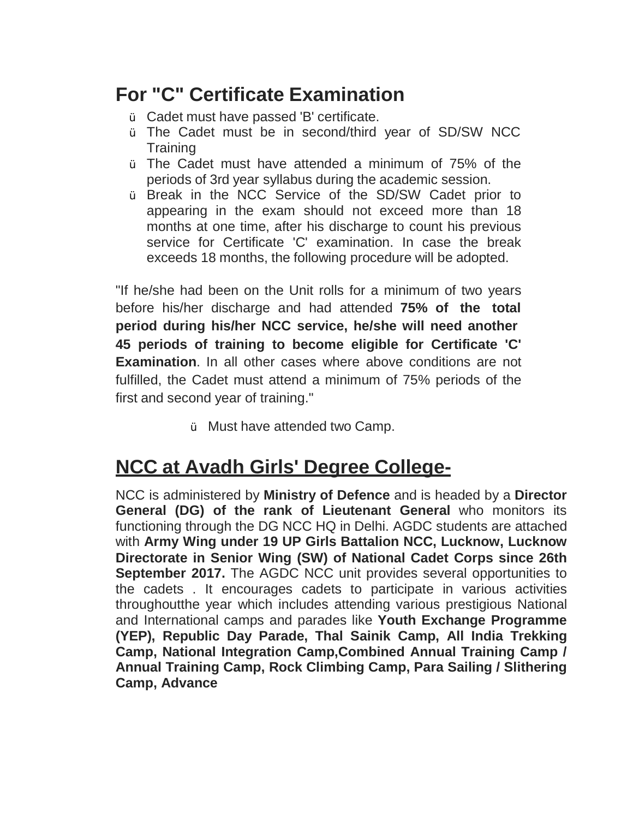### **For "C" Certificate Examination**

- Ÿ Cadet must have passed 'B' certificate.
- Ÿ The Cadet must be in second/third year of SD/SW NCC **Training**
- Ÿ The Cadet must have attended a minimum of 75% of the periods of 3rd year syllabus during the academic session.
- Ÿ Break in the NCC Service of the SD/SW Cadet prior to appearing in the exam should not exceed more than 18 months at one time, after his discharge to count his previous service for Certificate 'C' examination. In case the break exceeds 18 months, the following procedure will be adopted.

"If he/she had been on the Unit rolls for a minimum of two years before his/her discharge and had attended **75% of the total period during his/her NCC service, he/she will need another 45 periods of training to become eligible for Certificate 'C' Examination**. In all other cases where above conditions are not fulfilled, the Cadet must attend a minimum of 75% periods of the first and second year of training."

Ÿ Must have attended two Camp.

### **NCC at Avadh Girls' Degree College-**

NCC is administered by **Ministry of Defence** and is headed by a **Director General (DG) of the rank of Lieutenant General** who monitors its functioning through the DG NCC HQ in Delhi. AGDC students are attached with **Army Wing under 19 UP Girls Battalion NCC, Lucknow, Lucknow Directorate in Senior Wing (SW) of National Cadet Corps since 26th September 2017.** The AGDC NCC unit provides several opportunities to the cadets . It encourages cadets to participate in various activities throughoutthe year which includes attending various prestigious National and International camps and parades like **Youth Exchange Programme (YEP), Republic Day Parade, Thal Sainik Camp, All India Trekking Camp, National Integration Camp,Combined Annual Training Camp / Annual Training Camp, Rock Climbing Camp, Para Sailing / Slithering Camp, Advance**